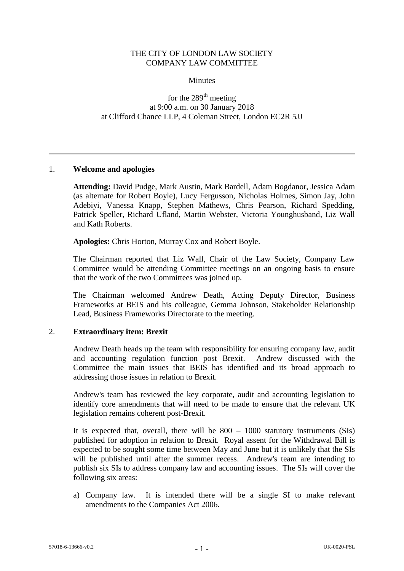## THE CITY OF LONDON LAW SOCIETY COMPANY LAW COMMITTEE

**Minutes** 

for the 289<sup>th</sup> meeting at 9:00 a.m. on 30 January 2018 at Clifford Chance LLP, 4 Coleman Street, London EC2R 5JJ

### 1. **Welcome and apologies**

**Attending:** David Pudge, Mark Austin, Mark Bardell, Adam Bogdanor, Jessica Adam (as alternate for Robert Boyle), Lucy Fergusson, Nicholas Holmes, Simon Jay, John Adebiyi, Vanessa Knapp, Stephen Mathews, Chris Pearson, Richard Spedding, Patrick Speller, Richard Ufland, Martin Webster, Victoria Younghusband, Liz Wall and Kath Roberts.

**Apologies:** Chris Horton, Murray Cox and Robert Boyle.

The Chairman reported that Liz Wall, Chair of the Law Society, Company Law Committee would be attending Committee meetings on an ongoing basis to ensure that the work of the two Committees was joined up.

The Chairman welcomed Andrew Death, Acting Deputy Director, Business Frameworks at BEIS and his colleague, Gemma Johnson, Stakeholder Relationship Lead, Business Frameworks Directorate to the meeting.

### 2. **Extraordinary item: Brexit**

Andrew Death heads up the team with responsibility for ensuring company law, audit and accounting regulation function post Brexit. Andrew discussed with the Committee the main issues that BEIS has identified and its broad approach to addressing those issues in relation to Brexit.

Andrew's team has reviewed the key corporate, audit and accounting legislation to identify core amendments that will need to be made to ensure that the relevant UK legislation remains coherent post-Brexit.

It is expected that, overall, there will be  $800 - 1000$  statutory instruments (SIs) published for adoption in relation to Brexit. Royal assent for the Withdrawal Bill is expected to be sought some time between May and June but it is unlikely that the SIs will be published until after the summer recess. Andrew's team are intending to publish six SIs to address company law and accounting issues. The SIs will cover the following six areas:

a) Company law. It is intended there will be a single SI to make relevant amendments to the Companies Act 2006.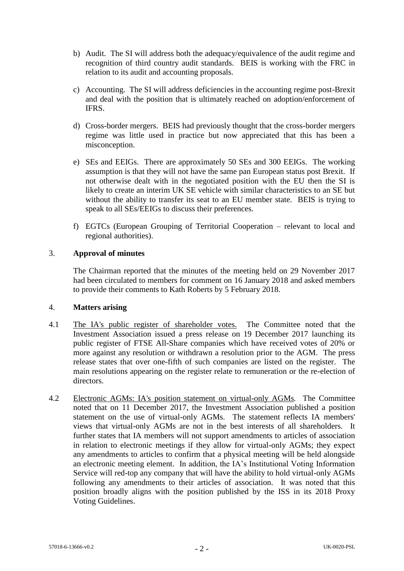- b) Audit. The SI will address both the adequacy/equivalence of the audit regime and recognition of third country audit standards. BEIS is working with the FRC in relation to its audit and accounting proposals.
- c) Accounting. The SI will address deficiencies in the accounting regime post-Brexit and deal with the position that is ultimately reached on adoption/enforcement of IFRS.
- d) Cross-border mergers. BEIS had previously thought that the cross-border mergers regime was little used in practice but now appreciated that this has been a misconception.
- e) SEs and EEIGs. There are approximately 50 SEs and 300 EEIGs. The working assumption is that they will not have the same pan European status post Brexit. If not otherwise dealt with in the negotiated position with the EU then the SI is likely to create an interim UK SE vehicle with similar characteristics to an SE but without the ability to transfer its seat to an EU member state. BEIS is trying to speak to all SEs/EEIGs to discuss their preferences.
- f) EGTCs (European Grouping of Territorial Cooperation relevant to local and regional authorities).

## 3. **Approval of minutes**

The Chairman reported that the minutes of the meeting held on 29 November 2017 had been circulated to members for comment on 16 January 2018 and asked members to provide their comments to Kath Roberts by 5 February 2018.

### 4. **Matters arising**

- 4.1 The IA's public register of shareholder votes. The Committee noted that the Investment Association issued a press release on 19 December 2017 launching its public register of FTSE All-Share companies which have received votes of 20% or more against any resolution or withdrawn a resolution prior to the AGM. The press release states that over one-fifth of such companies are listed on the register. The main resolutions appearing on the register relate to remuneration or the re-election of directors.
- 4.2 Electronic AGMs: IA's position statement on virtual-only AGMs*.* The Committee noted that on 11 December 2017, the Investment Association published a position statement on the use of virtual-only AGMs. The statement reflects IA members' views that virtual-only AGMs are not in the best interests of all shareholders. It further states that IA members will not support amendments to articles of association in relation to electronic meetings if they allow for virtual-only AGMs; they expect any amendments to articles to confirm that a physical meeting will be held alongside an electronic meeting element. In addition, the IA's Institutional Voting Information Service will red-top any company that will have the ability to hold virtual-only AGMs following any amendments to their articles of association. It was noted that this position broadly aligns with the position published by the ISS in its 2018 Proxy Voting Guidelines.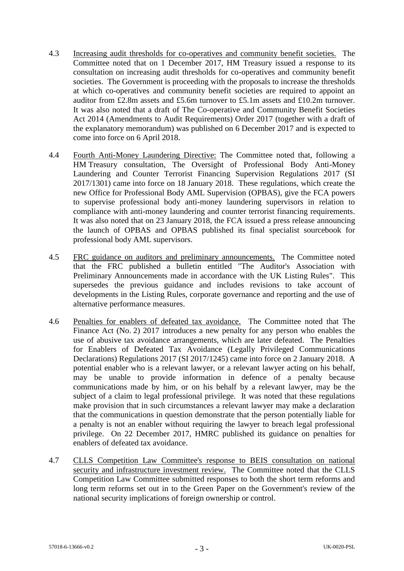- 4.3 Increasing audit thresholds for co-operatives and community benefit societies. The Committee noted that on 1 December 2017, HM Treasury issued a response to its consultation on increasing audit thresholds for co-operatives and community benefit societies. The Government is proceeding with the proposals to increase the thresholds at which co-operatives and community benefit societies are required to appoint an auditor from £2.8m assets and £5.6m turnover to £5.1m assets and £10.2m turnover. It was also noted that a draft of The Co-operative and Community Benefit Societies Act 2014 (Amendments to Audit Requirements) Order 2017 (together with a draft of the explanatory memorandum) was published on 6 December 2017 and is expected to come into force on 6 April 2018.
- 4.4 Fourth Anti-Money Laundering Directive: The Committee noted that, following a HM Treasury consultation, The Oversight of Professional Body Anti-Money Laundering and Counter Terrorist Financing Supervision Regulations 2017 (SI 2017/1301) came into force on 18 January 2018. These regulations, which create the new Office for Professional Body AML Supervision (OPBAS), give the FCA powers to supervise professional body anti-money laundering supervisors in relation to compliance with anti-money laundering and counter terrorist financing requirements. It was also noted that on 23 January 2018, the FCA issued a press release announcing the launch of OPBAS and OPBAS published its final specialist sourcebook for professional body AML supervisors.
- 4.5 FRC guidance on auditors and preliminary announcements. The Committee noted that the FRC published a bulletin entitled "The Auditor's Association with Preliminary Announcements made in accordance with the UK Listing Rules". This supersedes the previous guidance and includes revisions to take account of developments in the Listing Rules, corporate governance and reporting and the use of alternative performance measures.
- 4.6 Penalties for enablers of defeated tax avoidance. The Committee noted that The Finance Act (No. 2) 2017 introduces a new penalty for any person who enables the use of abusive tax avoidance arrangements, which are later defeated. The Penalties for Enablers of Defeated Tax Avoidance (Legally Privileged Communications Declarations) Regulations 2017 (SI 2017/1245) came into force on 2 January 2018. A potential enabler who is a relevant lawyer, or a relevant lawyer acting on his behalf, may be unable to provide information in defence of a penalty because communications made by him, or on his behalf by a relevant lawyer, may be the subject of a claim to legal professional privilege. It was noted that these regulations make provision that in such circumstances a relevant lawyer may make a declaration that the communications in question demonstrate that the person potentially liable for a penalty is not an enabler without requiring the lawyer to breach legal professional privilege. On 22 December 2017, HMRC published its guidance on penalties for enablers of defeated tax avoidance.
- 4.7 CLLS Competition Law Committee's response to BEIS consultation on national security and infrastructure investment review. The Committee noted that the CLLS Competition Law Committee submitted responses to both the short term reforms and long term reforms set out in to the Green Paper on the Government's review of the national security implications of foreign ownership or control.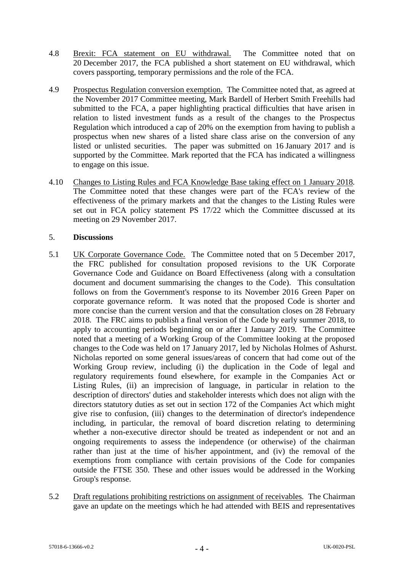- 4.8 Brexit: FCA statement on EU withdrawal. The Committee noted that on 20 December 2017, the FCA published a short statement on EU withdrawal, which covers passporting, temporary permissions and the role of the FCA.
- 4.9 Prospectus Regulation conversion exemption.The Committee noted that, as agreed at the November 2017 Committee meeting, Mark Bardell of Herbert Smith Freehills had submitted to the FCA, a paper highlighting practical difficulties that have arisen in relation to listed investment funds as a result of the changes to the Prospectus Regulation which introduced a cap of 20% on the exemption from having to publish a prospectus when new shares of a listed share class arise on the conversion of any listed or unlisted securities. The paper was submitted on 16 January 2017 and is supported by the Committee. Mark reported that the FCA has indicated a willingness to engage on this issue.
- 4.10 Changes to Listing Rules and FCA Knowledge Base taking effect on 1 January 2018*.*  The Committee noted that these changes were part of the FCA's review of the effectiveness of the primary markets and that the changes to the Listing Rules were set out in FCA policy statement PS 17/22 which the Committee discussed at its meeting on 29 November 2017.

## 5. **Discussions**

- 5.1 UK Corporate Governance Code. The Committee noted that on 5 December 2017, the FRC published for consultation proposed revisions to the UK Corporate Governance Code and Guidance on Board Effectiveness (along with a consultation document and document summarising the changes to the Code). This consultation follows on from the Government's response to its November 2016 Green Paper on corporate governance reform. It was noted that the proposed Code is shorter and more concise than the current version and that the consultation closes on 28 February 2018. The FRC aims to publish a final version of the Code by early summer 2018, to apply to accounting periods beginning on or after 1 January 2019. The Committee noted that a meeting of a Working Group of the Committee looking at the proposed changes to the Code was held on 17 January 2017, led by Nicholas Holmes of Ashurst. Nicholas reported on some general issues/areas of concern that had come out of the Working Group review, including (i) the duplication in the Code of legal and regulatory requirements found elsewhere, for example in the Companies Act or Listing Rules, (ii) an imprecision of language, in particular in relation to the description of directors' duties and stakeholder interests which does not align with the directors statutory duties as set out in section 172 of the Companies Act which might give rise to confusion, (iii) changes to the determination of director's independence including, in particular, the removal of board discretion relating to determining whether a non-executive director should be treated as independent or not and an ongoing requirements to assess the independence (or otherwise) of the chairman rather than just at the time of his/her appointment, and (iv) the removal of the exemptions from compliance with certain provisions of the Code for companies outside the FTSE 350. These and other issues would be addressed in the Working Group's response.
- 5.2 Draft regulations prohibiting restrictions on assignment of receivables*.* The Chairman gave an update on the meetings which he had attended with BEIS and representatives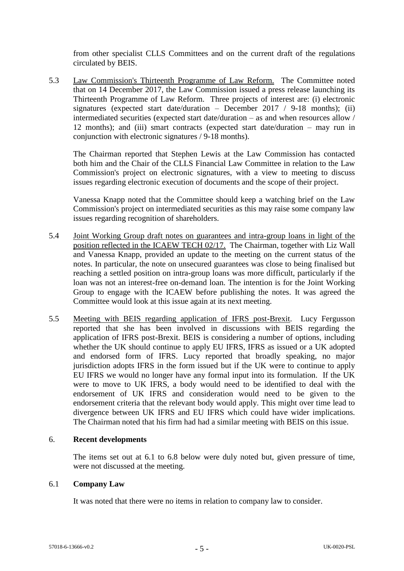from other specialist CLLS Committees and on the current draft of the regulations circulated by BEIS.

5.3 Law Commission's Thirteenth Programme of Law Reform. The Committee noted that on 14 December 2017, the Law Commission issued a press release launching its Thirteenth Programme of Law Reform. Three projects of interest are: (i) electronic signatures (expected start date/duration – December 2017 / 9-18 months); (ii) intermediated securities (expected start date/duration – as and when resources allow / 12 months); and (iii) smart contracts (expected start date/duration – may run in conjunction with electronic signatures / 9-18 months).

The Chairman reported that Stephen Lewis at the Law Commission has contacted both him and the Chair of the CLLS Financial Law Committee in relation to the Law Commission's project on electronic signatures, with a view to meeting to discuss issues regarding electronic execution of documents and the scope of their project.

Vanessa Knapp noted that the Committee should keep a watching brief on the Law Commission's project on intermediated securities as this may raise some company law issues regarding recognition of shareholders.

- 5.4 Joint Working Group draft notes on guarantees and intra-group loans in light of the position reflected in the ICAEW TECH 02/17. The Chairman, together with Liz Wall and Vanessa Knapp, provided an update to the meeting on the current status of the notes. In particular, the note on unsecured guarantees was close to being finalised but reaching a settled position on intra-group loans was more difficult, particularly if the loan was not an interest-free on-demand loan. The intention is for the Joint Working Group to engage with the ICAEW before publishing the notes. It was agreed the Committee would look at this issue again at its next meeting.
- 5.5 Meeting with BEIS regarding application of IFRS post-Brexit. Lucy Fergusson reported that she has been involved in discussions with BEIS regarding the application of IFRS post-Brexit. BEIS is considering a number of options, including whether the UK should continue to apply EU IFRS, IFRS as issued or a UK adopted and endorsed form of IFRS. Lucy reported that broadly speaking, no major jurisdiction adopts IFRS in the form issued but if the UK were to continue to apply EU IFRS we would no longer have any formal input into its formulation. If the UK were to move to UK IFRS, a body would need to be identified to deal with the endorsement of UK IFRS and consideration would need to be given to the endorsement criteria that the relevant body would apply. This might over time lead to divergence between UK IFRS and EU IFRS which could have wider implications. The Chairman noted that his firm had had a similar meeting with BEIS on this issue.

### 6. **Recent developments**

The items set out at [6.1](#page-4-0) to [6.8](#page-8-0) below were duly noted but, given pressure of time, were not discussed at the meeting.

# <span id="page-4-0"></span>6.1 **Company Law**

It was noted that there were no items in relation to company law to consider.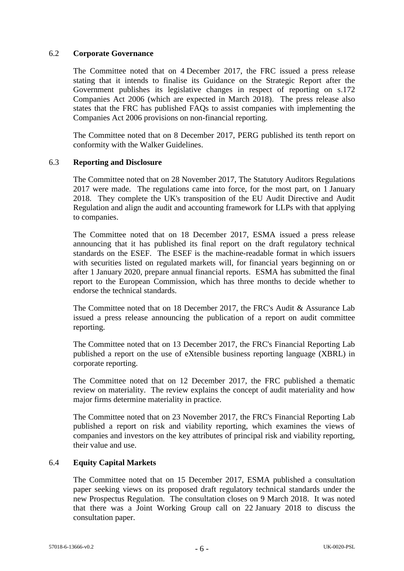### 6.2 **Corporate Governance**

The Committee noted that on 4 December 2017, the FRC issued a press release stating that it intends to finalise its Guidance on the Strategic Report after the Government publishes its legislative changes in respect of reporting on s.172 Companies Act 2006 (which are expected in March 2018). The press release also states that the FRC has published FAQs to assist companies with implementing the Companies Act 2006 provisions on non-financial reporting.

The Committee noted that on 8 December 2017, PERG published its tenth report on conformity with the Walker Guidelines.

### 6.3 **Reporting and Disclosure**

The Committee noted that on 28 November 2017, The Statutory Auditors Regulations 2017 were made. The regulations came into force, for the most part, on 1 January 2018. They complete the UK's transposition of the EU Audit Directive and Audit Regulation and align the audit and accounting framework for LLPs with that applying to companies.

The Committee noted that on 18 December 2017, ESMA issued a press release announcing that it has published its final report on the draft regulatory technical standards on the ESEF. The ESEF is the machine-readable format in which issuers with securities listed on regulated markets will, for financial years beginning on or after 1 January 2020, prepare annual financial reports. ESMA has submitted the final report to the European Commission, which has three months to decide whether to endorse the technical standards.

The Committee noted that on 18 December 2017, the FRC's Audit & Assurance Lab issued a press release announcing the publication of a report on audit committee reporting.

The Committee noted that on 13 December 2017, the FRC's Financial Reporting Lab published a report on the use of eXtensible business reporting language (XBRL) in corporate reporting.

The Committee noted that on 12 December 2017, the FRC published a thematic review on materiality. The review explains the concept of audit materiality and how major firms determine materiality in practice.

The Committee noted that on 23 November 2017, the FRC's Financial Reporting Lab published a report on risk and viability reporting, which examines the views of companies and investors on the key attributes of principal risk and viability reporting, their value and use.

### 6.4 **Equity Capital Markets**

The Committee noted that on 15 December 2017, ESMA published a consultation paper seeking views on its proposed draft regulatory technical standards under the new Prospectus Regulation. The consultation closes on 9 March 2018. It was noted that there was a Joint Working Group call on 22 January 2018 to discuss the consultation paper.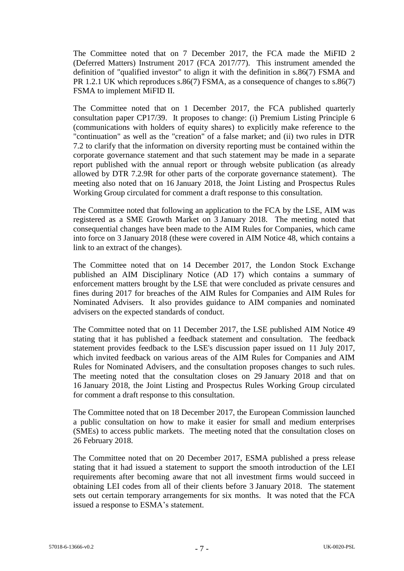The Committee noted that on 7 December 2017, the FCA made the MiFID 2 (Deferred Matters) Instrument 2017 (FCA 2017/77). This instrument amended the definition of "qualified investor" to align it with the definition in s.86(7) FSMA and PR 1.2.1 UK which reproduces s.86(7) FSMA, as a consequence of changes to s.86(7) FSMA to implement MiFID II.

The Committee noted that on 1 December 2017, the FCA published quarterly consultation paper CP17/39. It proposes to change: (i) Premium Listing Principle 6 (communications with holders of equity shares) to explicitly make reference to the "continuation" as well as the "creation" of a false market; and (ii) two rules in DTR 7.2 to clarify that the information on diversity reporting must be contained within the corporate governance statement and that such statement may be made in a separate report published with the annual report or through website publication (as already allowed by DTR 7.2.9R for other parts of the corporate governance statement). The meeting also noted that on 16 January 2018, the Joint Listing and Prospectus Rules Working Group circulated for comment a draft response to this consultation.

The Committee noted that following an application to the FCA by the LSE, AIM was registered as a SME Growth Market on 3 January 2018. The meeting noted that consequential changes have been made to the AIM Rules for Companies, which came into force on 3 January 2018 (these were covered in AIM Notice 48, which contains a link to an extract of the changes).

The Committee noted that on 14 December 2017, the London Stock Exchange published an AIM Disciplinary Notice (AD 17) which contains a summary of enforcement matters brought by the LSE that were concluded as private censures and fines during 2017 for breaches of the AIM Rules for Companies and AIM Rules for Nominated Advisers. It also provides guidance to AIM companies and nominated advisers on the expected standards of conduct.

The Committee noted that on 11 December 2017, the LSE published AIM Notice 49 stating that it has published a feedback statement and consultation. The feedback statement provides feedback to the LSE's discussion paper issued on 11 July 2017, which invited feedback on various areas of the AIM Rules for Companies and AIM Rules for Nominated Advisers, and the consultation proposes changes to such rules. The meeting noted that the consultation closes on 29 January 2018 and that on 16 January 2018, the Joint Listing and Prospectus Rules Working Group circulated for comment a draft response to this consultation.

The Committee noted that on 18 December 2017, the European Commission launched a public consultation on how to make it easier for small and medium enterprises (SMEs) to access public markets. The meeting noted that the consultation closes on 26 February 2018.

The Committee noted that on 20 December 2017, ESMA published a press release stating that it had issued a statement to support the smooth introduction of the LEI requirements after becoming aware that not all investment firms would succeed in obtaining LEI codes from all of their clients before 3 January 2018. The statement sets out certain temporary arrangements for six months. It was noted that the FCA issued a response to ESMA's statement.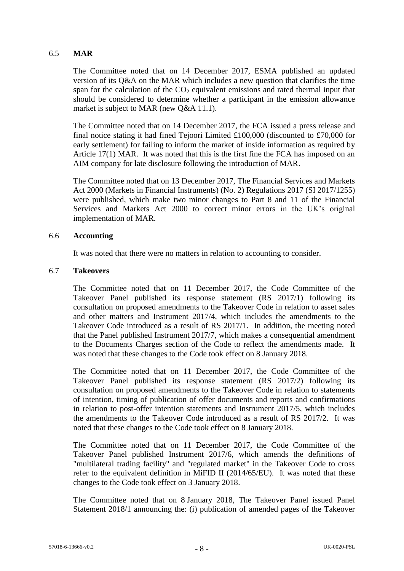# 6.5 **MAR**

The Committee noted that on 14 December 2017, ESMA published an updated version of its Q&A on the MAR which includes a new question that clarifies the time span for the calculation of the  $CO<sub>2</sub>$  equivalent emissions and rated thermal input that should be considered to determine whether a participant in the emission allowance market is subject to MAR (new Q&A 11.1).

The Committee noted that on 14 December 2017, the FCA issued a press release and final notice stating it had fined Tejoori Limited £100,000 (discounted to £70,000 for early settlement) for failing to inform the market of inside information as required by Article 17(1) MAR. It was noted that this is the first fine the FCA has imposed on an AIM company for late disclosure following the introduction of MAR.

The Committee noted that on 13 December 2017, The Financial Services and Markets Act 2000 (Markets in Financial Instruments) (No. 2) Regulations 2017 (SI 2017/1255) were published, which make two minor changes to Part 8 and 11 of the Financial Services and Markets Act 2000 to correct minor errors in the UK's original implementation of MAR.

### 6.6 **Accounting**

It was noted that there were no matters in relation to accounting to consider.

### 6.7 **Takeovers**

The Committee noted that on 11 December 2017, the Code Committee of the Takeover Panel published its response statement (RS 2017/1) following its consultation on proposed amendments to the Takeover Code in relation to asset sales and other matters and Instrument 2017/4, which includes the amendments to the Takeover Code introduced as a result of RS 2017/1. In addition, the meeting noted that the Panel published Instrument 2017/7, which makes a consequential amendment to the Documents Charges section of the Code to reflect the amendments made. It was noted that these changes to the Code took effect on 8 January 2018.

The Committee noted that on 11 December 2017, the Code Committee of the Takeover Panel published its response statement (RS 2017/2) following its consultation on proposed amendments to the Takeover Code in relation to statements of intention, timing of publication of offer documents and reports and confirmations in relation to post-offer intention statements and Instrument 2017/5, which includes the amendments to the Takeover Code introduced as a result of RS 2017/2. It was noted that these changes to the Code took effect on 8 January 2018.

The Committee noted that on 11 December 2017, the Code Committee of the Takeover Panel published Instrument 2017/6, which amends the definitions of "multilateral trading facility" and "regulated market" in the Takeover Code to cross refer to the equivalent definition in MiFID II (2014/65/EU). It was noted that these changes to the Code took effect on 3 January 2018.

The Committee noted that on 8 January 2018, The Takeover Panel issued Panel Statement 2018/1 announcing the: (i) publication of amended pages of the Takeover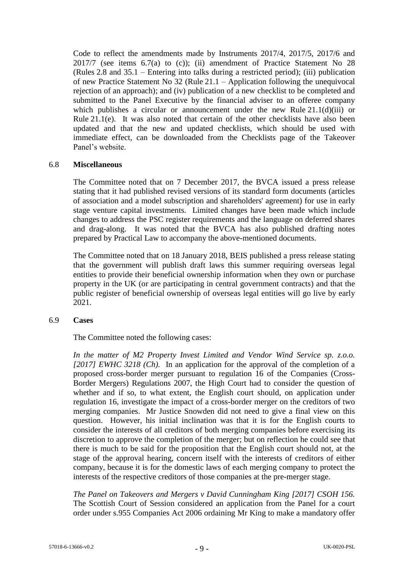Code to reflect the amendments made by Instruments 2017/4, 2017/5, 2017/6 and  $2017/7$  (see items  $6.7(a)$  to (c)); (ii) amendment of Practice Statement No 28 (Rules 2.8 and 35.1 – Entering into talks during a restricted period); (iii) publication of new Practice Statement No 32 (Rule 21.1 – Application following the unequivocal rejection of an approach); and (iv) publication of a new checklist to be completed and submitted to the Panel Executive by the financial adviser to an offeree company which publishes a circular or announcement under the new Rule  $21.1(d)(iii)$  or Rule 21.1(e). It was also noted that certain of the other checklists have also been updated and that the new and updated checklists, which should be used with immediate effect, can be downloaded from the Checklists page of the Takeover Panel's website.

#### <span id="page-8-0"></span>6.8 **Miscellaneous**

The Committee noted that on 7 December 2017, the BVCA issued a press release stating that it had published revised versions of its standard form documents (articles of association and a model subscription and shareholders' agreement) for use in early stage venture capital investments. Limited changes have been made which include changes to address the PSC register requirements and the language on deferred shares and drag-along. It was noted that the BVCA has also published drafting notes prepared by Practical Law to accompany the above-mentioned documents.

The Committee noted that on 18 January 2018, BEIS published a press release stating that the government will publish draft laws this summer requiring overseas legal entities to provide their beneficial ownership information when they own or purchase property in the UK (or are participating in central government contracts) and that the public register of beneficial ownership of overseas legal entities will go live by early 2021.

### 6.9 **Cases**

The Committee noted the following cases:

*In the matter of M2 Property Invest Limited and Vendor Wind Service sp. z.o.o. [2017] EWHC 3218 (Ch).* In an application for the approval of the completion of a proposed cross-border merger pursuant to regulation 16 of the Companies (Cross-Border Mergers) Regulations 2007, the High Court had to consider the question of whether and if so, to what extent, the English court should, on application under regulation 16, investigate the impact of a cross-border merger on the creditors of two merging companies. Mr Justice Snowden did not need to give a final view on this question. However, his initial inclination was that it is for the English courts to consider the interests of all creditors of both merging companies before exercising its discretion to approve the completion of the merger; but on reflection he could see that there is much to be said for the proposition that the English court should not, at the stage of the approval hearing, concern itself with the interests of creditors of either company, because it is for the domestic laws of each merging company to protect the interests of the respective creditors of those companies at the pre-merger stage.

*The Panel on Takeovers and Mergers v David Cunningham King [2017] CSOH 156.*  The Scottish Court of Session considered an application from the Panel for a court order under s.955 Companies Act 2006 ordaining Mr King to make a mandatory offer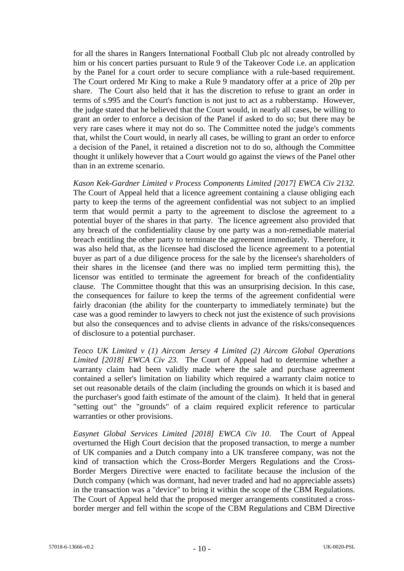for all the shares in Rangers International Football Club plc not already controlled by him or his concert parties pursuant to Rule 9 of the Takeover Code i.e. an application by the Panel for a court order to secure compliance with a rule-based requirement. The Court ordered Mr King to make a Rule 9 mandatory offer at a price of 20p per share. The Court also held that it has the discretion to refuse to grant an order in terms of s.995 and the Court's function is not just to act as a rubberstamp. However, the judge stated that he believed that the Court would, in nearly all cases, be willing to grant an order to enforce a decision of the Panel if asked to do so; but there may be very rare cases where it may not do so. The Committee noted the judge's comments that, whilst the Court would, in nearly all cases, be willing to grant an order to enforce a decision of the Panel, it retained a discretion not to do so, although the Committee thought it unlikely however that a Court would go against the views of the Panel other than in an extreme scenario.

*Kason Kek-Gardner Limited v Process Components Limited [2017] EWCA Civ 2132.*  The Court of Appeal held that a licence agreement containing a clause obliging each party to keep the terms of the agreement confidential was not subject to an implied term that would permit a party to the agreement to disclose the agreement to a potential buyer of the shares in that party. The licence agreement also provided that any breach of the confidentiality clause by one party was a non-remediable material breach entitling the other party to terminate the agreement immediately. Therefore, it was also held that, as the licensee had disclosed the licence agreement to a potential buyer as part of a due diligence process for the sale by the licensee's shareholders of their shares in the licensee (and there was no implied term permitting this), the licensor was entitled to terminate the agreement for breach of the confidentiality clause. The Committee thought that this was an unsurprising decision. In this case, the consequences for failure to keep the terms of the agreement confidential were fairly draconian (the ability for the counterparty to immediately terminate) but the case was a good reminder to lawyers to check not just the existence of such provisions but also the consequences and to advise clients in advance of the risks/consequences of disclosure to a potential purchaser.

*Teoco UK Limited v (1) Aircom Jersey 4 Limited (2) Aircom Global Operations Limited [2018] EWCA Civ 23.* The Court of Appeal had to determine whether a warranty claim had been validly made where the sale and purchase agreement contained a seller's limitation on liability which required a warranty claim notice to set out reasonable details of the claim (including the grounds on which it is based and the purchaser's good faith estimate of the amount of the claim). It held that in general "setting out" the "grounds" of a claim required explicit reference to particular warranties or other provisions.

*Easynet Global Services Limited [2018] EWCA Civ 10*. The Court of Appeal overturned the High Court decision that the proposed transaction, to merge a number of UK companies and a Dutch company into a UK transferee company, was not the kind of transaction which the Cross-Border Mergers Regulations and the Cross-Border Mergers Directive were enacted to facilitate because the inclusion of the Dutch company (which was dormant, had never traded and had no appreciable assets) in the transaction was a "device" to bring it within the scope of the CBM Regulations. The Court of Appeal held that the proposed merger arrangements constituted a crossborder merger and fell within the scope of the CBM Regulations and CBM Directive